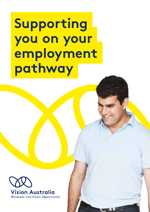**Supporting you on your employment pathway**

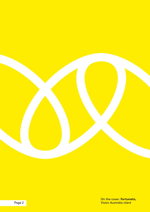

On the cover: **Fortunato,** Vision Australia client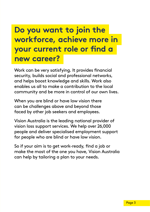## **Do you want to join the workforce, achieve more in your current role or find a new career?**

Work can be very satisfying. It provides financial security, builds social and professional networks, and helps boost knowledge and skills. Work also enables us all to make a contribution to the local community and be more in control of our own lives.

When you are blind or have low vision there can be challenges above and beyond those faced by other job seekers and employees.

Vision Australia is the leading national provider of vision loss support services. We help over 26,000 people and deliver specialised employment support for people who are blind or have low vision.

So if your aim is to get work-ready, find a job or make the most of the one you have, Vision Australia can help by tailoring a plan to your needs.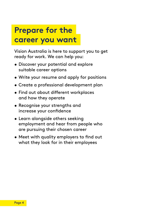### **Prepare for the career you want**

Vision Australia is here to support you to get ready for work. We can help you:

- Discover your potential and explore suitable career options
- Write your resume and apply for positions
- Create a professional development plan
- Find out about different workplaces and how they operate
- Recognise your strengths and increase your confidence
- Learn alongside others seeking employment and hear from people who are pursuing their chosen career
- Meet with quality employers to find out what they look for in their employees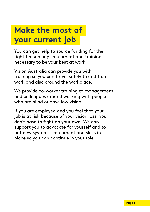## **Make the most of your current job**

You can get help to source funding for the right technology, equipment and training necessary to be your best at work.

Vision Australia can provide you with training so you can travel safely to and from work and also around the workplace.

We provide co-worker training to management and colleagues around working with people who are blind or have low vision.

If you are employed and you feel that your job is at risk because of your vision loss, you don't have to fight on your own. We can support you to advocate for yourself and to put new systems, equipment and skills in place so you can continue in your role.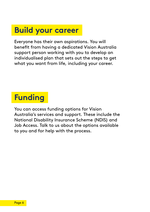#### **Build your career**

Everyone has their own aspirations. You will benefit from having a dedicated Vision Australia support person working with you to develop an individualised plan that sets out the steps to get what you want from life, including your career.

## **Funding**

You can access funding options for Vision Australia's services and support. These include the National Disability Insurance Scheme (NDIS) and Job Access. Talk to us about the options available to you and for help with the process.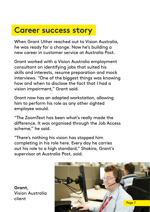#### **Career success story**

When Grant Uther reached out to Vision Australia, he was ready for a change. Now he's building a new career in customer service at Australia Post.

Grant worked with a Vision Australia employment consultant on identifying jobs that suited his skills and interests, resume preparation and mock interviews. "One of the biggest things was knowing how and when to disclose the fact that I had a vision impairment," Grant said.

Grant now has an adapted workstation, allowing him to perform his role as any other sighted employee would.

"The ZoomText has been what's really made the difference. It was organised through the Job Access scheme," he said.

"There's nothing his vision has stopped him completing in his role here. Every day he carries out his role to a high standard," Shakira, Grant's supervisor at Australia Post, said.

**Grant**, Vision Australia client